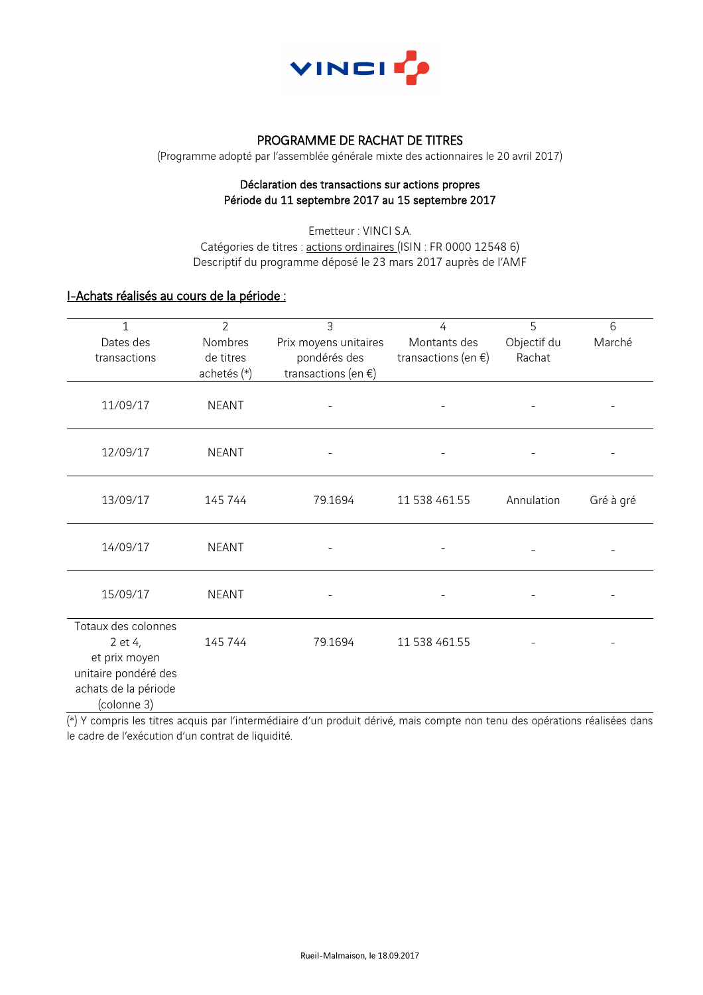

### PROGRAMME DE RACHAT DE TITRES

(Programme adopté par l'assemblée générale mixte des actionnaires le 20 avril 2017)

#### Déclaration des transactions sur actions propres Période du 11 septembre 2017 au 15 septembre 2017

Emetteur : VINCI S.A. Catégories de titres : actions ordinaires (ISIN : FR 0000 12548 6) Descriptif du programme déposé le 23 mars 2017 auprès de l'AMF

# I-Achats réalisés au cours de la période :

| 1<br>Dates des<br>transactions                                                                                 | $\overline{2}$<br>Nombres<br>de titres | 3<br>Prix moyens unitaires<br>pondérés des | 4<br>Montants des<br>transactions (en $\xi$ ) | 5<br>Objectif du<br>Rachat | 6<br>Marché |
|----------------------------------------------------------------------------------------------------------------|----------------------------------------|--------------------------------------------|-----------------------------------------------|----------------------------|-------------|
|                                                                                                                | achetés (*)                            | transactions (en $\xi$ )                   |                                               |                            |             |
| 11/09/17                                                                                                       | <b>NEANT</b>                           |                                            |                                               |                            |             |
| 12/09/17                                                                                                       | <b>NEANT</b>                           |                                            |                                               |                            |             |
| 13/09/17                                                                                                       | 145 744                                | 79.1694                                    | 11 538 461.55                                 | Annulation                 | Gré à gré   |
| 14/09/17                                                                                                       | <b>NEANT</b>                           |                                            |                                               |                            |             |
| 15/09/17                                                                                                       | <b>NEANT</b>                           |                                            |                                               |                            |             |
| Totaux des colonnes<br>2 et 4,<br>et prix moyen<br>unitaire pondéré des<br>achats de la période<br>(colonne 3) | 145 744                                | 79.1694                                    | 11 538 461.55                                 |                            |             |

(\*) Y compris les titres acquis par l'intermédiaire d'un produit dérivé, mais compte non tenu des opérations réalisées dans le cadre de l'exécution d'un contrat de liquidité.